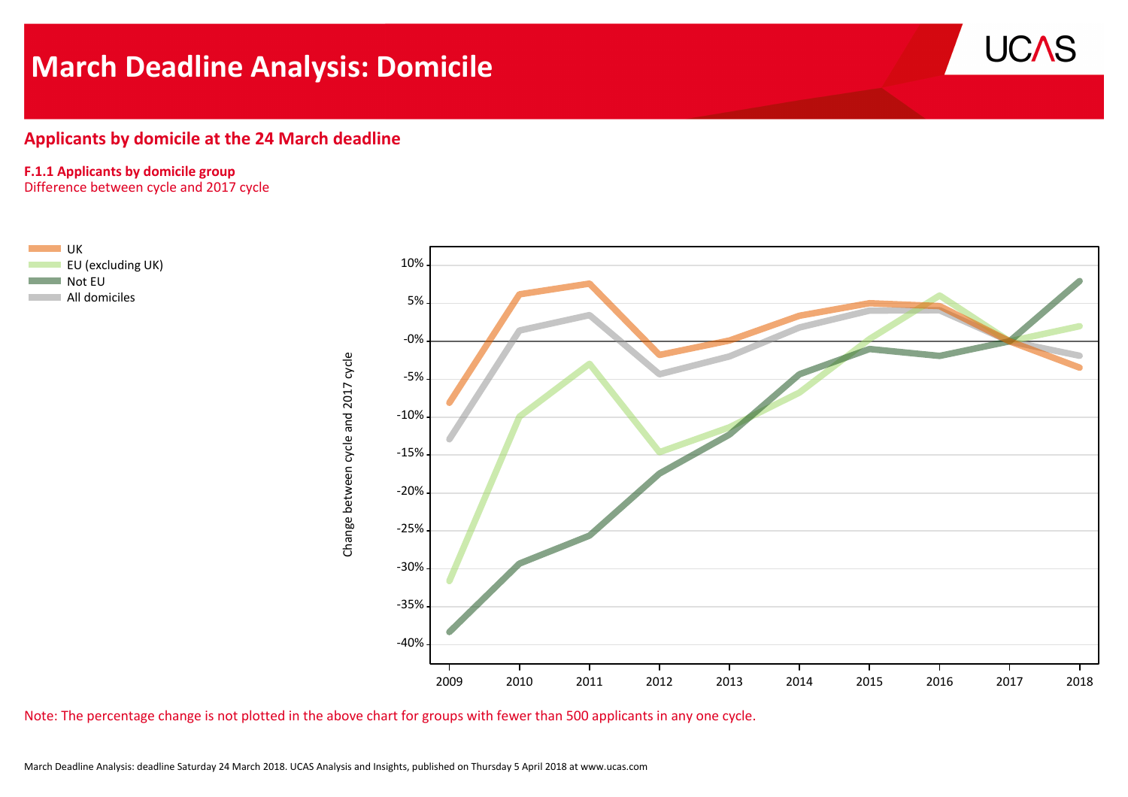# **March Deadline Analysis: Domicile**



# **Applicants by domicile at the 24 March deadline**

#### **F.1.1 Applicants by domicile group**

Difference between cycle and 2017 cycle



Note: The percentage change is not plotted in the above chart for groups with fewer than 500 applicants in any one cycle.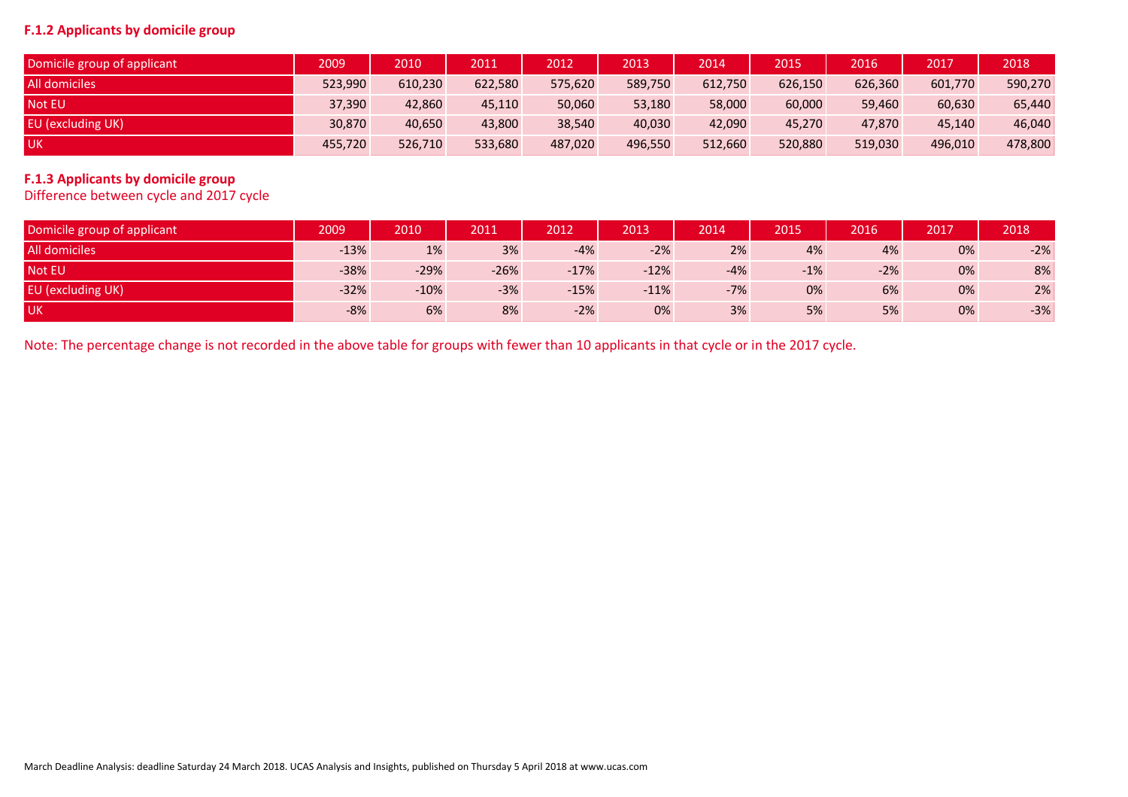### **F.1.2 Applicants by domicile group**

| Domicile group of applicant | 2009    | 2010    | 2011    | 2012    | 2013    | 2014    | 2015    | 2016    | 2017    | 2018    |
|-----------------------------|---------|---------|---------|---------|---------|---------|---------|---------|---------|---------|
| All domiciles               | 523,990 | 610,230 | 622,580 | 575,620 | 589,750 | 612,750 | 626,150 | 626,360 | 601,770 | 590,270 |
| Not EU                      | 37,390  | 42,860  | 45,110  | 50,060  | 53,180  | 58,000  | 60,000  | 59,460  | 60,630  | 65,440  |
| <b>EU</b> (excluding UK)    | 30,870  | 40,650  | 43,800  | 38,540  | 40,030  | 42,090  | 45,270  | 47.870  | 45,140  | 46,040  |
| <b>UK</b>                   | 455,720 | 526,710 | 533,680 | 487,020 | 496,550 | 512,660 | 520,880 | 519,030 | 496,010 | 478,800 |

# **F.1.3 Applicants by domicile group**

Difference between cycle and 2017 cycle

| Domicile group of applicant | 2009   | 2010   | 2011   | 2012   | 2013   | 2014  | 2015  | 2016  | 2017 | 2018  |
|-----------------------------|--------|--------|--------|--------|--------|-------|-------|-------|------|-------|
| All domiciles               | $-13%$ | 1%     | 3%     | $-4%$  | $-2%$  | 2%    | 4%    | 4%    | 0%   | $-2%$ |
| <b>Not EU</b>               | $-38%$ | $-29%$ | $-26%$ | $-17%$ | $-12%$ | $-4%$ | $-1%$ | $-2%$ | 0%   | 8%    |
| EU (excluding UK)           | $-32%$ | $-10%$ | $-3%$  | $-15%$ | $-11%$ | $-7%$ | 0%    | 6%    | 0%   | 2%    |
| <b>UK</b>                   | $-8%$  | 6%     | 8%     | $-2%$  | 0%     | 3%    | 5%    | 5%    | 0%   | $-3%$ |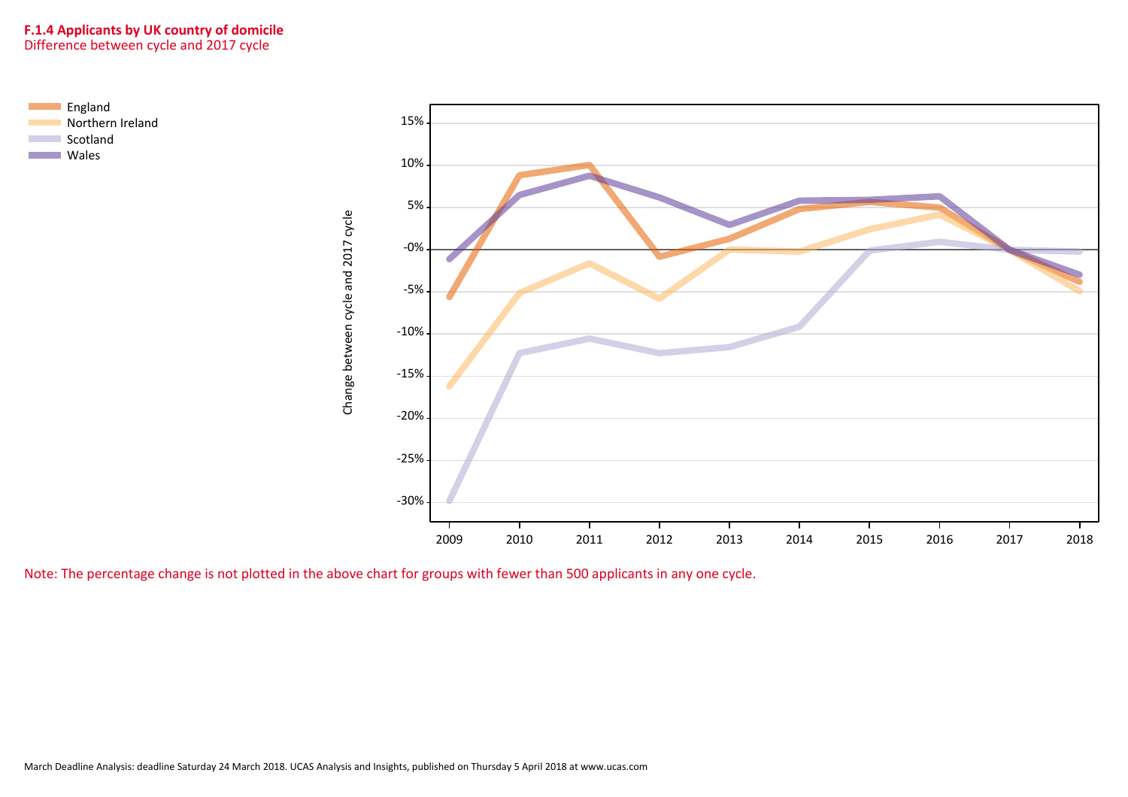## **F.1.4 Applicants by UK country of domicile** Difference between cycle and 2017 cycle



Note: The percentage change is not plotted in the above chart for groups with fewer than 500 applicants in any one cycle.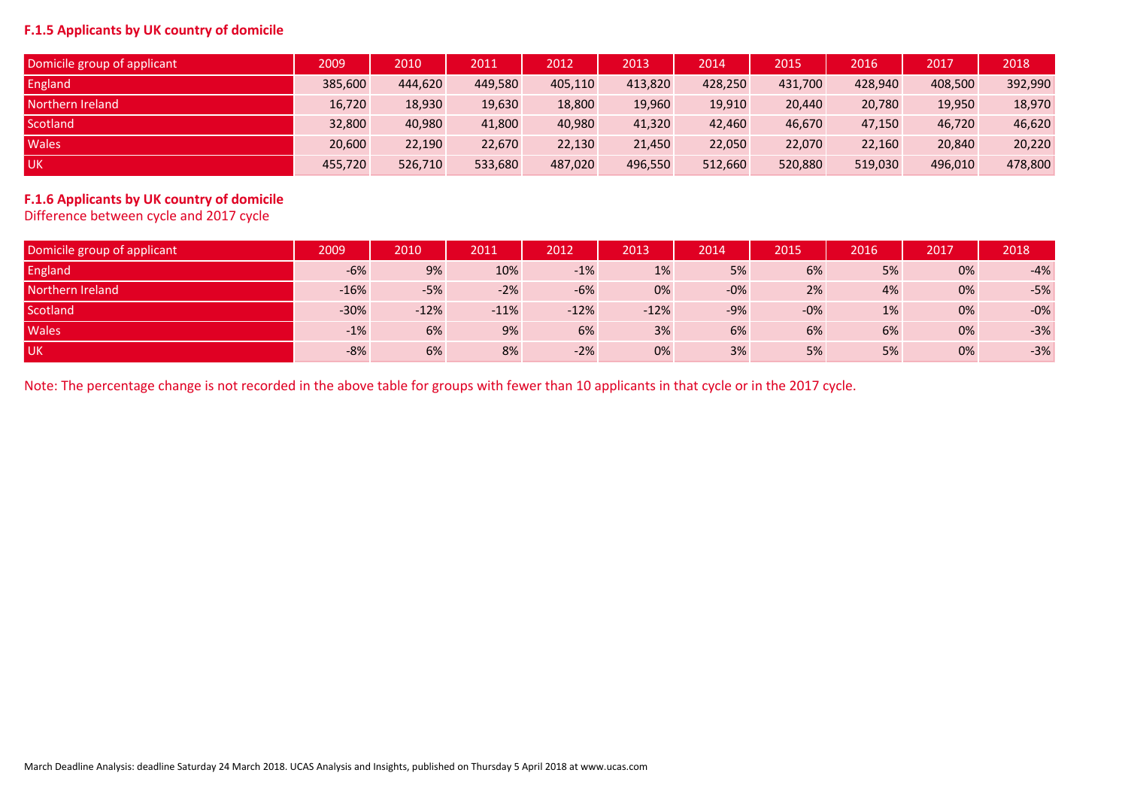#### **F.1.5 Applicants by UK country of domicile**

| Domicile group of applicant | 2009    | 2010    | 2011'   | 2012    | 2013    | 2014    | 2015    | 2016    | 2017    | 2018    |
|-----------------------------|---------|---------|---------|---------|---------|---------|---------|---------|---------|---------|
| England                     | 385,600 | 444,620 | 449,580 | 405,110 | 413,820 | 428,250 | 431,700 | 428,940 | 408,500 | 392,990 |
| Northern Ireland            | 16,720  | 18,930  | 19,630  | 18,800  | 19,960  | 19,910  | 20,440  | 20,780  | 19,950  | 18,970  |
| Scotland                    | 32,800  | 40,980  | 41,800  | 40,980  | 41,320  | 42,460  | 46,670  | 47,150  | 46,720  | 46,620  |
| <b>Wales</b>                | 20,600  | 22,190  | 22,670  | 22,130  | 21,450  | 22,050  | 22,070  | 22,160  | 20,840  | 20,220  |
| <b>UK</b>                   | 455,720 | 526,710 | 533,680 | 487,020 | 496,550 | 512,660 | 520,880 | 519,030 | 496,010 | 478,800 |

# **F.1.6 Applicants by UK country of domicile**

Difference between cycle and 2017 cycle

| Domicile group of applicant | 2009   | 2010   | 2011   | 2012   | 2013'  | 2014  | 2015  | 2016 | 2017 | 2018  |
|-----------------------------|--------|--------|--------|--------|--------|-------|-------|------|------|-------|
| England                     | $-6%$  | 9%     | 10%    | $-1%$  | 1%     | 5%    | 6%    | 5%   | 0%   | $-4%$ |
| Northern Ireland            | $-16%$ | $-5%$  | $-2%$  | $-6%$  | 0%     | $-0%$ | 2%    | 4%   | 0%   | $-5%$ |
| Scotland                    | $-30%$ | $-12%$ | $-11%$ | $-12%$ | $-12%$ | $-9%$ | $-0%$ | 1%   | 0%   | $-0%$ |
| Wales <sup>1</sup>          | $-1%$  | 6%     | 9%     | 6%     | 3%     | 6%    | 6%    | 6%   | 0%   | $-3%$ |
| <b>UK</b>                   | $-8%$  | 6%     | 8%     | $-2%$  | 0%     | 3%    | 5%    | 5%   | 0%   | $-3%$ |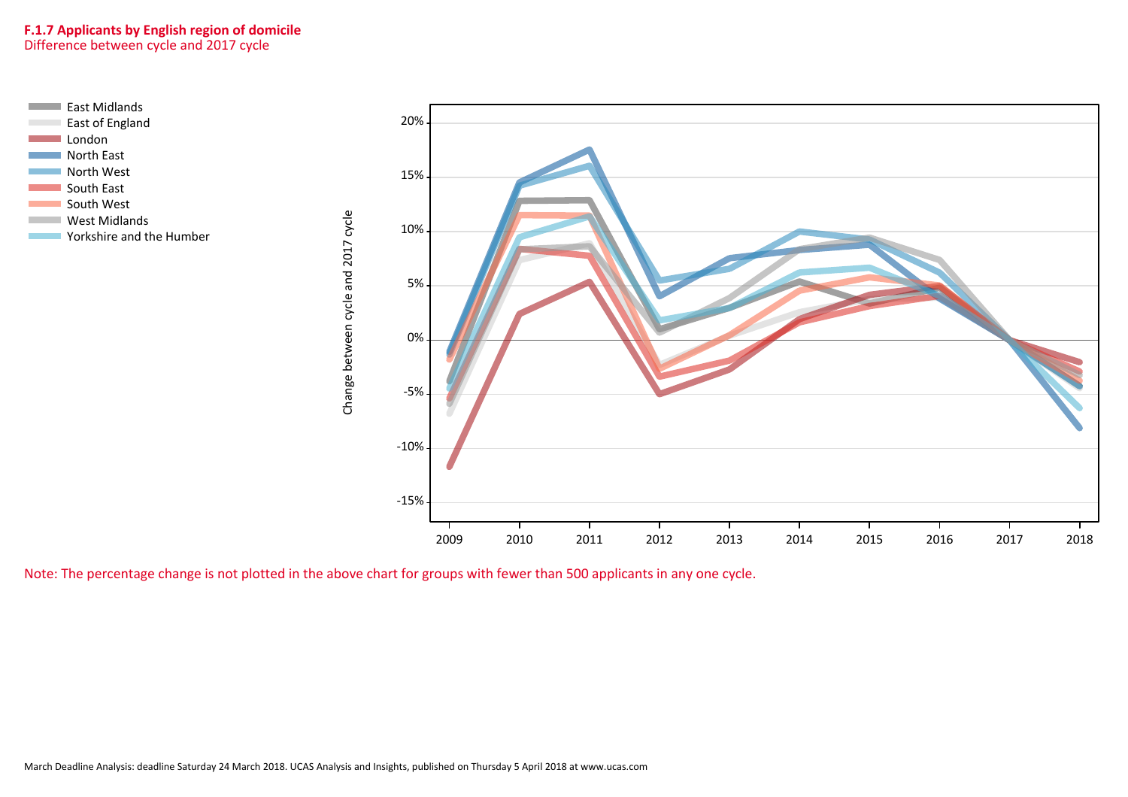#### **F.1.7 Applicants by English region of domicile** Difference between cycle and 2017 cycle



Note: The percentage change is not plotted in the above chart for groups with fewer than 500 applicants in any one cycle.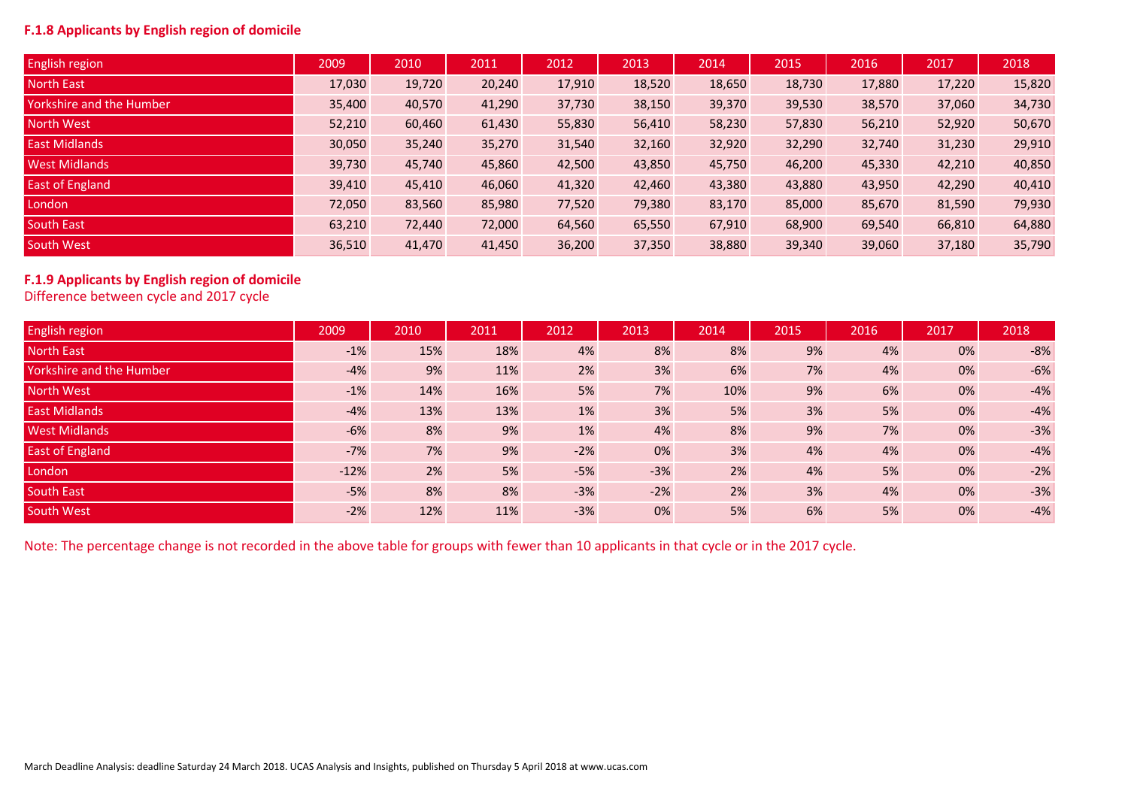# **F.1.8 Applicants by English region of domicile**

| <b>English region</b>    | 2009   | 2010   | 2011   | 2012   | 2013   | 2014   | 2015   | 2016   | 2017   | 2018   |
|--------------------------|--------|--------|--------|--------|--------|--------|--------|--------|--------|--------|
| North East               | 17,030 | 19,720 | 20,240 | 17,910 | 18,520 | 18,650 | 18,730 | 17,880 | 17,220 | 15,820 |
| Yorkshire and the Humber | 35,400 | 40,570 | 41,290 | 37,730 | 38,150 | 39,370 | 39,530 | 38,570 | 37,060 | 34,730 |
| North West               | 52,210 | 60,460 | 61,430 | 55,830 | 56,410 | 58,230 | 57,830 | 56,210 | 52,920 | 50,670 |
| <b>East Midlands</b>     | 30,050 | 35,240 | 35,270 | 31,540 | 32,160 | 32,920 | 32,290 | 32,740 | 31,230 | 29,910 |
| <b>West Midlands</b>     | 39,730 | 45,740 | 45,860 | 42,500 | 43,850 | 45,750 | 46,200 | 45,330 | 42,210 | 40,850 |
| East of England          | 39,410 | 45,410 | 46,060 | 41,320 | 42,460 | 43,380 | 43,880 | 43,950 | 42,290 | 40,410 |
| London                   | 72,050 | 83,560 | 85,980 | 77,520 | 79,380 | 83,170 | 85,000 | 85,670 | 81,590 | 79,930 |
| South East               | 63,210 | 72,440 | 72,000 | 64,560 | 65,550 | 67,910 | 68,900 | 69,540 | 66,810 | 64,880 |
| South West               | 36,510 | 41,470 | 41,450 | 36,200 | 37,350 | 38,880 | 39,340 | 39,060 | 37,180 | 35,790 |

# **F.1.9 Applicants by English region of domicile**

Difference between cycle and 2017 cycle

| English region           | 2009   | 2010 | 2011 | 2012  | 2013  | 2014 | 2015 | 2016 | 2017 | 2018  |
|--------------------------|--------|------|------|-------|-------|------|------|------|------|-------|
| <b>North East</b>        | $-1%$  | 15%  | 18%  | 4%    | 8%    | 8%   | 9%   | 4%   | 0%   | $-8%$ |
| Yorkshire and the Humber | $-4%$  | 9%   | 11%  | 2%    | 3%    | 6%   | 7%   | 4%   | 0%   | $-6%$ |
| North West               | $-1%$  | 14%  | 16%  | 5%    | 7%    | 10%  | 9%   | 6%   | 0%   | $-4%$ |
| <b>East Midlands</b>     | $-4%$  | 13%  | 13%  | 1%    | 3%    | 5%   | 3%   | 5%   | 0%   | $-4%$ |
| <b>West Midlands</b>     | $-6%$  | 8%   | 9%   | 1%    | 4%    | 8%   | 9%   | 7%   | 0%   | $-3%$ |
| East of England          | $-7%$  | 7%   | 9%   | $-2%$ | 0%    | 3%   | 4%   | 4%   | 0%   | $-4%$ |
| London                   | $-12%$ | 2%   | 5%   | $-5%$ | $-3%$ | 2%   | 4%   | 5%   | 0%   | $-2%$ |
| South East               | $-5%$  | 8%   | 8%   | $-3%$ | $-2%$ | 2%   | 3%   | 4%   | 0%   | $-3%$ |
| South West               | $-2%$  | 12%  | 11%  | $-3%$ | 0%    | 5%   | 6%   | 5%   | 0%   | $-4%$ |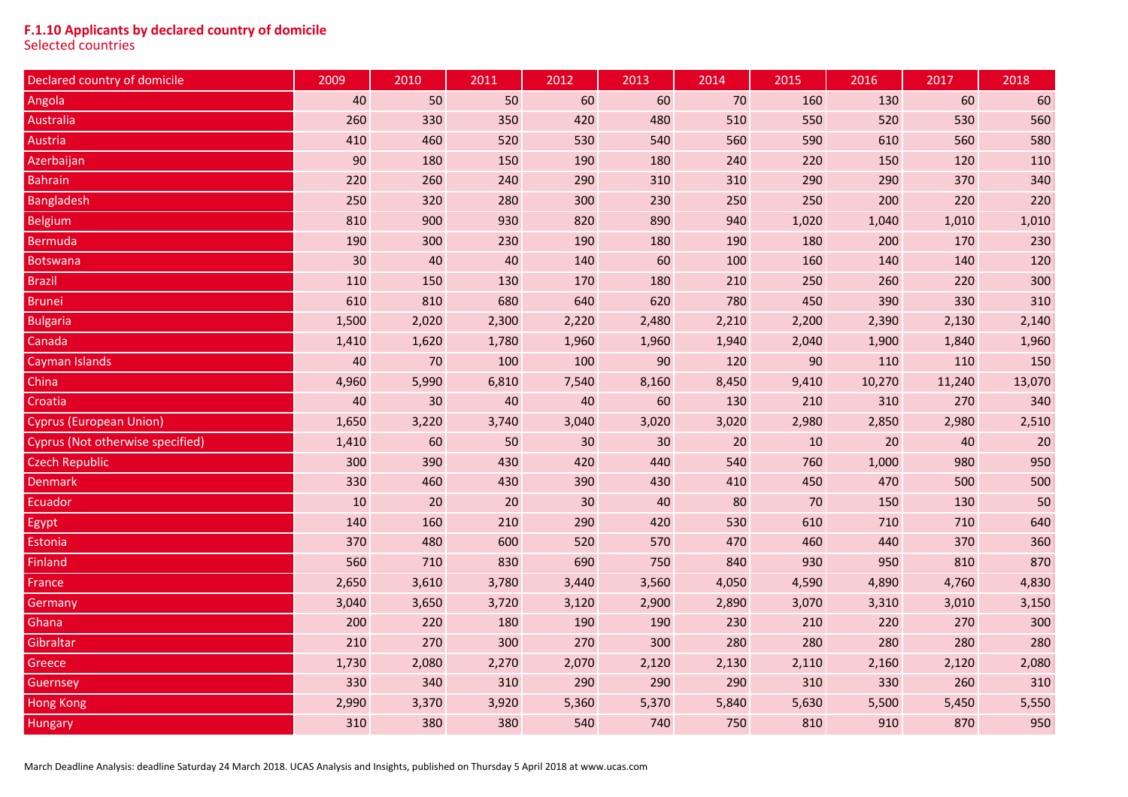#### **F.1.10 Applicants by declared country of domicile**

Selected countries

| Declared country of domicile     | 2009   | 2010   | 2011  | 2012  | 2013  | 2014   | 2015  | 2016   | 2017   | 2018   |
|----------------------------------|--------|--------|-------|-------|-------|--------|-------|--------|--------|--------|
| Angola                           | 40     | 50     | 50    | 60    | 60    | $70\,$ | 160   | 130    | 60     | 60     |
| <b>Australia</b>                 | 260    | 330    | 350   | 420   | 480   | 510    | 550   | 520    | 530    | 560    |
| Austria                          | 410    | 460    | 520   | 530   | 540   | 560    | 590   | 610    | 560    | 580    |
| Azerbaijan                       | $90\,$ | 180    | 150   | 190   | 180   | 240    | 220   | 150    | 120    | 110    |
| <b>Bahrain</b>                   | 220    | 260    | 240   | 290   | 310   | 310    | 290   | 290    | 370    | 340    |
| <b>Bangladesh</b>                | 250    | 320    | 280   | 300   | 230   | 250    | 250   | 200    | 220    | 220    |
| <b>Belgium</b>                   | 810    | 900    | 930   | 820   | 890   | 940    | 1,020 | 1,040  | 1,010  | 1,010  |
| <b>Bermuda</b>                   | 190    | 300    | 230   | 190   | 180   | 190    | 180   | 200    | 170    | 230    |
| <b>Botswana</b>                  | 30     | 40     | 40    | 140   | 60    | 100    | 160   | 140    | 140    | 120    |
| <b>Brazil</b>                    | 110    | 150    | 130   | 170   | 180   | 210    | 250   | 260    | 220    | 300    |
| <b>Brunei</b>                    | 610    | 810    | 680   | 640   | 620   | 780    | 450   | 390    | 330    | 310    |
| <b>Bulgaria</b>                  | 1,500  | 2,020  | 2,300 | 2,220 | 2,480 | 2,210  | 2,200 | 2,390  | 2,130  | 2,140  |
| Canada                           | 1,410  | 1,620  | 1,780 | 1,960 | 1,960 | 1,940  | 2,040 | 1,900  | 1,840  | 1,960  |
| Cayman Islands                   | $40\,$ | 70     | 100   | 100   | 90    | 120    | 90    | 110    | 110    | 150    |
| China                            | 4,960  | 5,990  | 6,810 | 7,540 | 8,160 | 8,450  | 9,410 | 10,270 | 11,240 | 13,070 |
| Croatia                          | 40     | 30     | 40    | 40    | 60    | 130    | 210   | 310    | 270    | 340    |
| <b>Cyprus (European Union)</b>   | 1,650  | 3,220  | 3,740 | 3,040 | 3,020 | 3,020  | 2,980 | 2,850  | 2,980  | 2,510  |
| Cyprus (Not otherwise specified) | 1,410  | 60     | 50    | 30    | 30    | 20     | 10    | 20     | 40     | 20     |
| <b>Czech Republic</b>            | 300    | 390    | 430   | 420   | 440   | 540    | 760   | 1,000  | 980    | 950    |
| <b>Denmark</b>                   | 330    | 460    | 430   | 390   | 430   | 410    | 450   | 470    | 500    | 500    |
| Ecuador                          | 10     | $20\,$ | 20    | 30    | 40    | 80     | $70$  | 150    | 130    | 50     |
| Egypt                            | 140    | 160    | 210   | 290   | 420   | 530    | 610   | 710    | 710    | 640    |
| Estonia                          | 370    | 480    | 600   | 520   | 570   | 470    | 460   | 440    | 370    | 360    |
| <b>Finland</b>                   | 560    | 710    | 830   | 690   | 750   | 840    | 930   | 950    | 810    | 870    |
| <b>France</b>                    | 2,650  | 3,610  | 3,780 | 3,440 | 3,560 | 4,050  | 4,590 | 4,890  | 4,760  | 4,830  |
| Germany                          | 3,040  | 3,650  | 3,720 | 3,120 | 2,900 | 2,890  | 3,070 | 3,310  | 3,010  | 3,150  |
| Ghana                            | 200    | 220    | 180   | 190   | 190   | 230    | 210   | 220    | 270    | 300    |
| Gibraltar                        | 210    | 270    | 300   | 270   | 300   | 280    | 280   | 280    | 280    | 280    |
| Greece                           | 1,730  | 2,080  | 2,270 | 2,070 | 2,120 | 2,130  | 2,110 | 2,160  | 2,120  | 2,080  |
| Guernsey                         | 330    | 340    | 310   | 290   | 290   | 290    | 310   | 330    | 260    | 310    |
| <b>Hong Kong</b>                 | 2,990  | 3,370  | 3,920 | 5,360 | 5,370 | 5,840  | 5,630 | 5,500  | 5,450  | 5,550  |
| <b>Hungary</b>                   | 310    | 380    | 380   | 540   | 740   | 750    | 810   | 910    | 870    | 950    |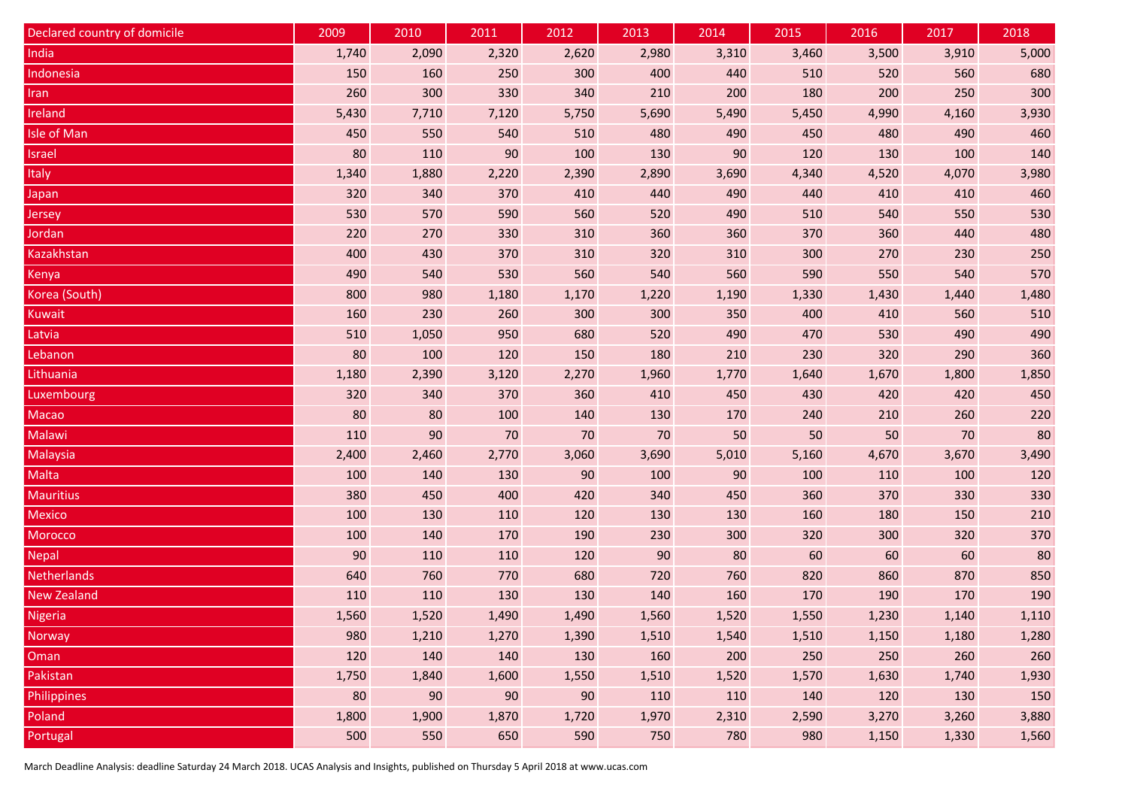| Declared country of domicile | 2009   | 2010  | 2011  | 2012  | 2013  | 2014  | 2015  | 2016  | 2017  | 2018  |
|------------------------------|--------|-------|-------|-------|-------|-------|-------|-------|-------|-------|
| India                        | 1,740  | 2,090 | 2,320 | 2,620 | 2,980 | 3,310 | 3,460 | 3,500 | 3,910 | 5,000 |
| Indonesia                    | 150    | 160   | 250   | 300   | 400   | 440   | 510   | 520   | 560   | 680   |
| <b>Iran</b>                  | 260    | 300   | 330   | 340   | 210   | 200   | 180   | 200   | 250   | 300   |
| Ireland                      | 5,430  | 7,710 | 7,120 | 5,750 | 5,690 | 5,490 | 5,450 | 4,990 | 4,160 | 3,930 |
| <b>Isle of Man</b>           | 450    | 550   | 540   | 510   | 480   | 490   | 450   | 480   | 490   | 460   |
| <b>Israel</b>                | 80     | 110   | 90    | 100   | 130   | 90    | 120   | 130   | 100   | 140   |
| Italy                        | 1,340  | 1,880 | 2,220 | 2,390 | 2,890 | 3,690 | 4,340 | 4,520 | 4,070 | 3,980 |
| Japan                        | 320    | 340   | 370   | 410   | 440   | 490   | 440   | 410   | 410   | 460   |
| Jersey                       | 530    | 570   | 590   | 560   | 520   | 490   | 510   | 540   | 550   | 530   |
| Jordan                       | 220    | 270   | 330   | 310   | 360   | 360   | 370   | 360   | 440   | 480   |
| Kazakhstan                   | 400    | 430   | 370   | 310   | 320   | 310   | 300   | 270   | 230   | 250   |
| Kenya                        | 490    | 540   | 530   | 560   | 540   | 560   | 590   | 550   | 540   | 570   |
| Korea (South)                | 800    | 980   | 1,180 | 1,170 | 1,220 | 1,190 | 1,330 | 1,430 | 1,440 | 1,480 |
| <b>Kuwait</b>                | 160    | 230   | 260   | 300   | 300   | 350   | 400   | 410   | 560   | 510   |
| Latvia                       | 510    | 1,050 | 950   | 680   | 520   | 490   | 470   | 530   | 490   | 490   |
| Lebanon                      | 80     | 100   | 120   | 150   | 180   | 210   | 230   | 320   | 290   | 360   |
| Lithuania                    | 1,180  | 2,390 | 3,120 | 2,270 | 1,960 | 1,770 | 1,640 | 1,670 | 1,800 | 1,850 |
| Luxembourg                   | 320    | 340   | 370   | 360   | 410   | 450   | 430   | 420   | 420   | 450   |
| Macao                        | 80     | 80    | 100   | 140   | 130   | 170   | 240   | 210   | 260   | 220   |
| Malawi                       | 110    | 90    | 70    | 70    | 70    | 50    | 50    | 50    | 70    | 80    |
| Malaysia                     | 2,400  | 2,460 | 2,770 | 3,060 | 3,690 | 5,010 | 5,160 | 4,670 | 3,670 | 3,490 |
| <b>Malta</b>                 | 100    | 140   | 130   | 90    | 100   | 90    | 100   | 110   | 100   | 120   |
| <b>Mauritius</b>             | 380    | 450   | 400   | 420   | 340   | 450   | 360   | 370   | 330   | 330   |
| <b>Mexico</b>                | 100    | 130   | 110   | 120   | 130   | 130   | 160   | 180   | 150   | 210   |
| Morocco                      | 100    | 140   | 170   | 190   | 230   | 300   | 320   | 300   | 320   | 370   |
| <b>Nepal</b>                 | $90\,$ | 110   | 110   | 120   | 90    | 80    | 60    | 60    | 60    | 80    |
| Netherlands                  | 640    | 760   | 770   | 680   | 720   | 760   | 820   | 860   | 870   | 850   |
| <b>New Zealand</b>           | 110    | 110   | 130   | 130   | 140   | 160   | 170   | 190   | 170   | 190   |
| Nigeria                      | 1,560  | 1,520 | 1,490 | 1,490 | 1,560 | 1,520 | 1,550 | 1,230 | 1,140 | 1,110 |
| <b>Norway</b>                | 980    | 1,210 | 1,270 | 1,390 | 1,510 | 1,540 | 1,510 | 1,150 | 1,180 | 1,280 |
| Oman                         | 120    | 140   | 140   | 130   | 160   | 200   | 250   | 250   | 260   | 260   |
| Pakistan                     | 1,750  | 1,840 | 1,600 | 1,550 | 1,510 | 1,520 | 1,570 | 1,630 | 1,740 | 1,930 |
| Philippines                  | 80     | 90    | 90    | 90    | 110   | 110   | 140   | 120   | 130   | 150   |
| Poland                       | 1,800  | 1,900 | 1,870 | 1,720 | 1,970 | 2,310 | 2,590 | 3,270 | 3,260 | 3,880 |
| Portugal                     | 500    | 550   | 650   | 590   | 750   | 780   | 980   | 1,150 | 1,330 | 1,560 |

March Deadline Analysis: deadline Saturday 24 March 2018. UCAS Analysis and Insights, published on Thursday 5 April 2018 at www.ucas.com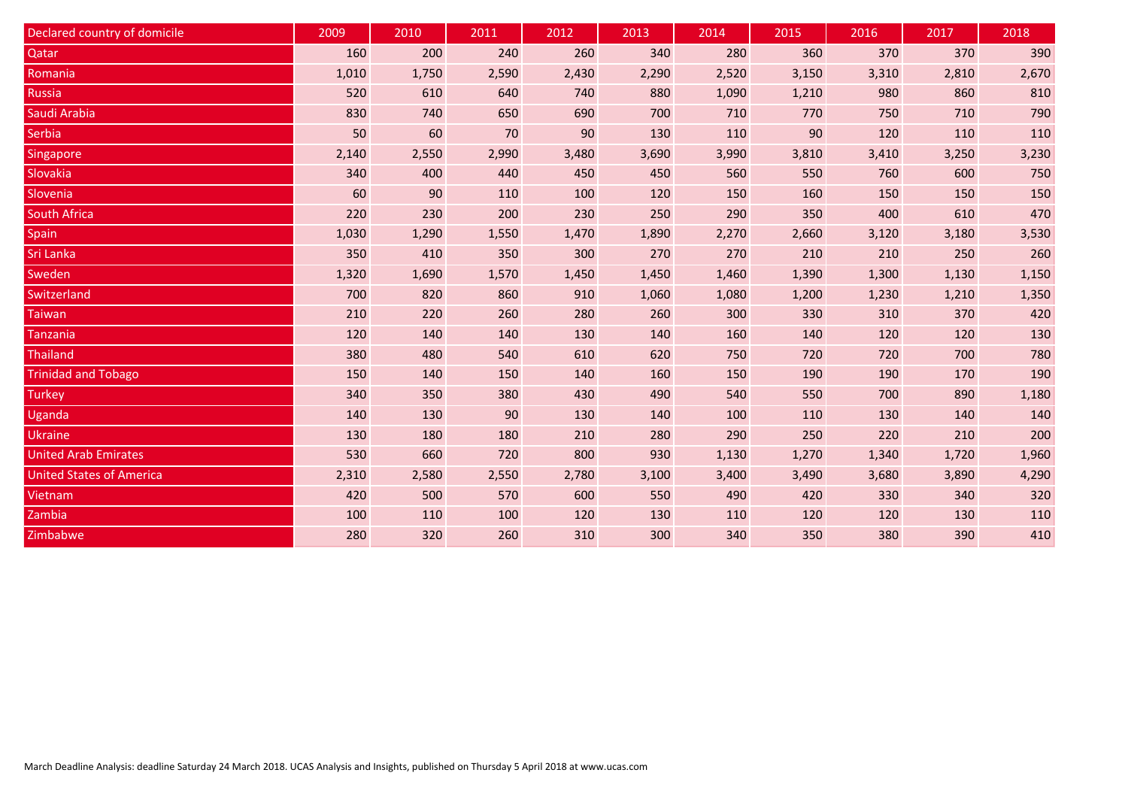| Declared country of domicile    | 2009  | 2010  | 2011  | 2012  | 2013  | 2014  | 2015  | 2016  | 2017  | 2018  |
|---------------------------------|-------|-------|-------|-------|-------|-------|-------|-------|-------|-------|
| Qatar                           | 160   | 200   | 240   | 260   | 340   | 280   | 360   | 370   | 370   | 390   |
| Romania                         | 1,010 | 1,750 | 2,590 | 2,430 | 2,290 | 2,520 | 3,150 | 3,310 | 2,810 | 2,670 |
| <b>Russia</b>                   | 520   | 610   | 640   | 740   | 880   | 1,090 | 1,210 | 980   | 860   | 810   |
| Saudi Arabia                    | 830   | 740   | 650   | 690   | 700   | 710   | 770   | 750   | 710   | 790   |
| Serbia                          | 50    | 60    | 70    | 90    | 130   | 110   | 90    | 120   | 110   | 110   |
| <b>Singapore</b>                | 2,140 | 2,550 | 2,990 | 3,480 | 3,690 | 3,990 | 3,810 | 3,410 | 3,250 | 3,230 |
| Slovakia                        | 340   | 400   | 440   | 450   | 450   | 560   | 550   | 760   | 600   | 750   |
| Slovenia                        | 60    | 90    | 110   | 100   | 120   | 150   | 160   | 150   | 150   | 150   |
| <b>South Africa</b>             | 220   | 230   | 200   | 230   | 250   | 290   | 350   | 400   | 610   | 470   |
| Spain                           | 1,030 | 1,290 | 1,550 | 1,470 | 1,890 | 2,270 | 2,660 | 3,120 | 3,180 | 3,530 |
| Sri Lanka                       | 350   | 410   | 350   | 300   | 270   | 270   | 210   | 210   | 250   | 260   |
| Sweden                          | 1,320 | 1,690 | 1,570 | 1,450 | 1,450 | 1,460 | 1,390 | 1,300 | 1,130 | 1,150 |
| Switzerland                     | 700   | 820   | 860   | 910   | 1,060 | 1,080 | 1,200 | 1,230 | 1,210 | 1,350 |
| <b>Taiwan</b>                   | 210   | 220   | 260   | 280   | 260   | 300   | 330   | 310   | 370   | 420   |
| Tanzania                        | 120   | 140   | 140   | 130   | 140   | 160   | 140   | 120   | 120   | 130   |
| <b>Thailand</b>                 | 380   | 480   | 540   | 610   | 620   | 750   | 720   | 720   | 700   | 780   |
| <b>Trinidad and Tobago</b>      | 150   | 140   | 150   | 140   | 160   | 150   | 190   | 190   | 170   | 190   |
| <b>Turkey</b>                   | 340   | 350   | 380   | 430   | 490   | 540   | 550   | 700   | 890   | 1,180 |
| Uganda                          | 140   | 130   | 90    | 130   | 140   | 100   | 110   | 130   | 140   | 140   |
| <b>Ukraine</b>                  | 130   | 180   | 180   | 210   | 280   | 290   | 250   | 220   | 210   | 200   |
| <b>United Arab Emirates</b>     | 530   | 660   | 720   | 800   | 930   | 1,130 | 1,270 | 1,340 | 1,720 | 1,960 |
| <b>United States of America</b> | 2,310 | 2,580 | 2,550 | 2,780 | 3,100 | 3,400 | 3,490 | 3,680 | 3,890 | 4,290 |
| <b>Vietnam</b>                  | 420   | 500   | 570   | 600   | 550   | 490   | 420   | 330   | 340   | 320   |
| Zambia                          | 100   | 110   | 100   | 120   | 130   | 110   | 120   | 120   | 130   | 110   |
| Zimbabwe                        | 280   | 320   | 260   | 310   | 300   | 340   | 350   | 380   | 390   | 410   |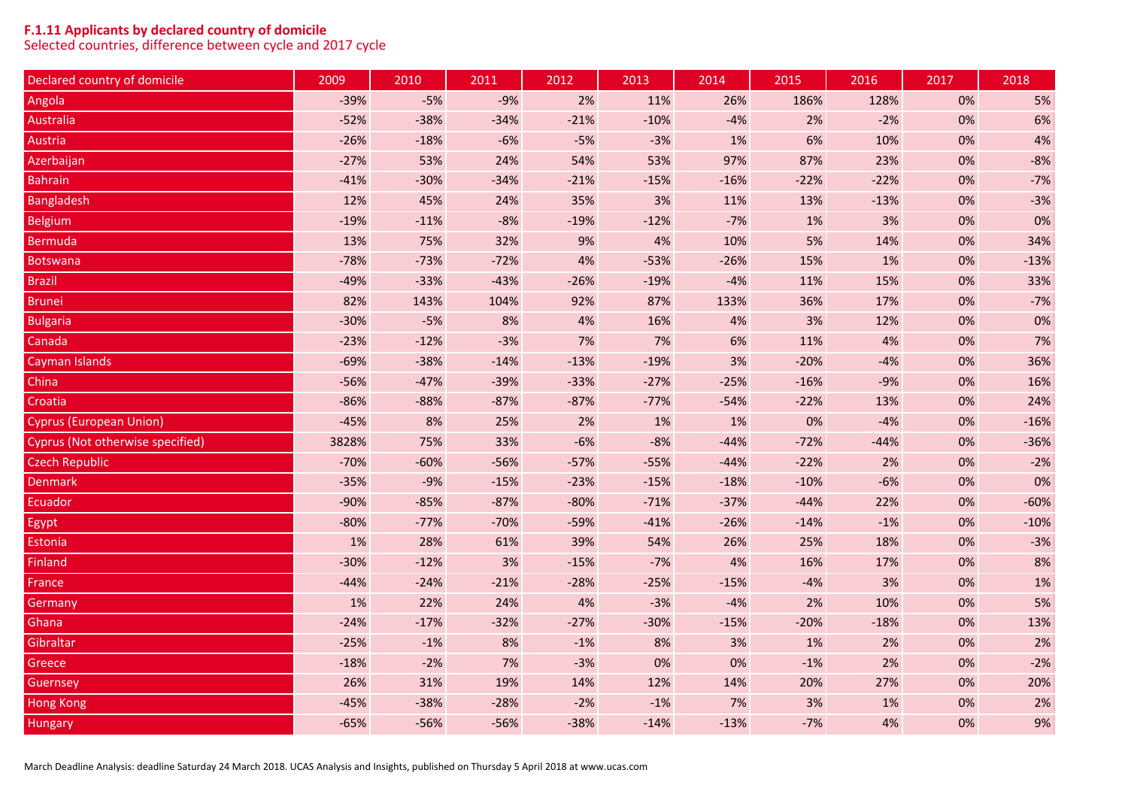## **F.1.11 Applicants by declared country of domicile**

Selected countries, difference between cycle and 2017 cycle

| Declared country of domicile     | 2009   | 2010   | 2011   | 2012   | 2013   | 2014   | 2015   | 2016   | 2017  | 2018   |
|----------------------------------|--------|--------|--------|--------|--------|--------|--------|--------|-------|--------|
| Angola                           | $-39%$ | $-5%$  | $-9%$  | 2%     | 11%    | 26%    | 186%   | 128%   | 0%    | 5%     |
| Australia                        | $-52%$ | $-38%$ | $-34%$ | $-21%$ | $-10%$ | $-4%$  | 2%     | $-2%$  | 0%    | 6%     |
| Austria                          | $-26%$ | $-18%$ | $-6%$  | $-5%$  | $-3%$  | 1%     | 6%     | 10%    | 0%    | 4%     |
| Azerbaijan                       | $-27%$ | 53%    | 24%    | 54%    | 53%    | 97%    | 87%    | 23%    | 0%    | $-8%$  |
| <b>Bahrain</b>                   | $-41%$ | $-30%$ | $-34%$ | $-21%$ | $-15%$ | $-16%$ | $-22%$ | $-22%$ | 0%    | $-7%$  |
| <b>Bangladesh</b>                | 12%    | 45%    | 24%    | 35%    | 3%     | 11%    | 13%    | $-13%$ | 0%    | $-3%$  |
| <b>Belgium</b>                   | $-19%$ | $-11%$ | $-8%$  | $-19%$ | $-12%$ | $-7%$  | 1%     | 3%     | 0%    | 0%     |
| <b>Bermuda</b>                   | 13%    | 75%    | 32%    | 9%     | 4%     | 10%    | 5%     | 14%    | 0%    | 34%    |
| <b>Botswana</b>                  | $-78%$ | $-73%$ | $-72%$ | 4%     | $-53%$ | $-26%$ | 15%    | 1%     | 0%    | $-13%$ |
| <b>Brazil</b>                    | $-49%$ | $-33%$ | $-43%$ | $-26%$ | $-19%$ | $-4%$  | 11%    | 15%    | 0%    | 33%    |
| <b>Brunei</b>                    | 82%    | 143%   | 104%   | 92%    | 87%    | 133%   | 36%    | 17%    | 0%    | $-7%$  |
| <b>Bulgaria</b>                  | $-30%$ | $-5%$  | 8%     | 4%     | 16%    | $4%$   | 3%     | 12%    | $0\%$ | 0%     |
| Canada                           | $-23%$ | $-12%$ | $-3%$  | 7%     | 7%     | 6%     | 11%    | 4%     | 0%    | 7%     |
| Cayman Islands                   | $-69%$ | $-38%$ | $-14%$ | $-13%$ | $-19%$ | 3%     | $-20%$ | $-4%$  | 0%    | 36%    |
| China                            | $-56%$ | $-47%$ | $-39%$ | $-33%$ | $-27%$ | $-25%$ | $-16%$ | $-9%$  | 0%    | 16%    |
| Croatia                          | $-86%$ | $-88%$ | $-87%$ | $-87%$ | $-77%$ | $-54%$ | $-22%$ | 13%    | 0%    | 24%    |
| <b>Cyprus (European Union)</b>   | $-45%$ | 8%     | 25%    | 2%     | 1%     | 1%     | 0%     | $-4%$  | 0%    | $-16%$ |
| Cyprus (Not otherwise specified) | 3828%  | 75%    | 33%    | $-6%$  | $-8%$  | $-44%$ | $-72%$ | $-44%$ | 0%    | $-36%$ |
| Czech Republic                   | $-70%$ | $-60%$ | $-56%$ | $-57%$ | $-55%$ | $-44%$ | $-22%$ | 2%     | 0%    | $-2%$  |
| <b>Denmark</b>                   | $-35%$ | $-9%$  | $-15%$ | $-23%$ | $-15%$ | $-18%$ | $-10%$ | $-6%$  | 0%    | 0%     |
| Ecuador                          | $-90%$ | $-85%$ | $-87%$ | $-80%$ | $-71%$ | $-37%$ | $-44%$ | 22%    | 0%    | $-60%$ |
| Egypt                            | $-80%$ | $-77%$ | $-70%$ | $-59%$ | $-41%$ | $-26%$ | $-14%$ | $-1%$  | 0%    | $-10%$ |
| Estonia                          | 1%     | 28%    | 61%    | 39%    | 54%    | 26%    | 25%    | 18%    | 0%    | $-3%$  |
| <b>Finland</b>                   | $-30%$ | $-12%$ | 3%     | $-15%$ | $-7%$  | 4%     | 16%    | 17%    | 0%    | 8%     |
| France                           | $-44%$ | $-24%$ | $-21%$ | $-28%$ | $-25%$ | $-15%$ | $-4%$  | 3%     | 0%    | 1%     |
| Germany                          | $1\%$  | 22%    | 24%    | 4%     | $-3%$  | $-4%$  | 2%     | 10%    | 0%    | 5%     |
| Ghana                            | $-24%$ | $-17%$ | $-32%$ | $-27%$ | $-30%$ | $-15%$ | $-20%$ | $-18%$ | 0%    | 13%    |
| Gibraltar                        | $-25%$ | $-1%$  | 8%     | $-1%$  | 8%     | 3%     | 1%     | 2%     | 0%    | 2%     |
| Greece                           | $-18%$ | $-2%$  | 7%     | $-3%$  | 0%     | 0%     | $-1%$  | 2%     | 0%    | $-2%$  |
| <b>Guernsey</b>                  | 26%    | 31%    | 19%    | 14%    | 12%    | 14%    | 20%    | 27%    | 0%    | 20%    |
| <b>Hong Kong</b>                 | $-45%$ | $-38%$ | $-28%$ | $-2%$  | $-1%$  | 7%     | 3%     | 1%     | 0%    | 2%     |
| <b>Hungary</b>                   | $-65%$ | $-56%$ | $-56%$ | $-38%$ | $-14%$ | $-13%$ | $-7%$  | 4%     | 0%    | 9%     |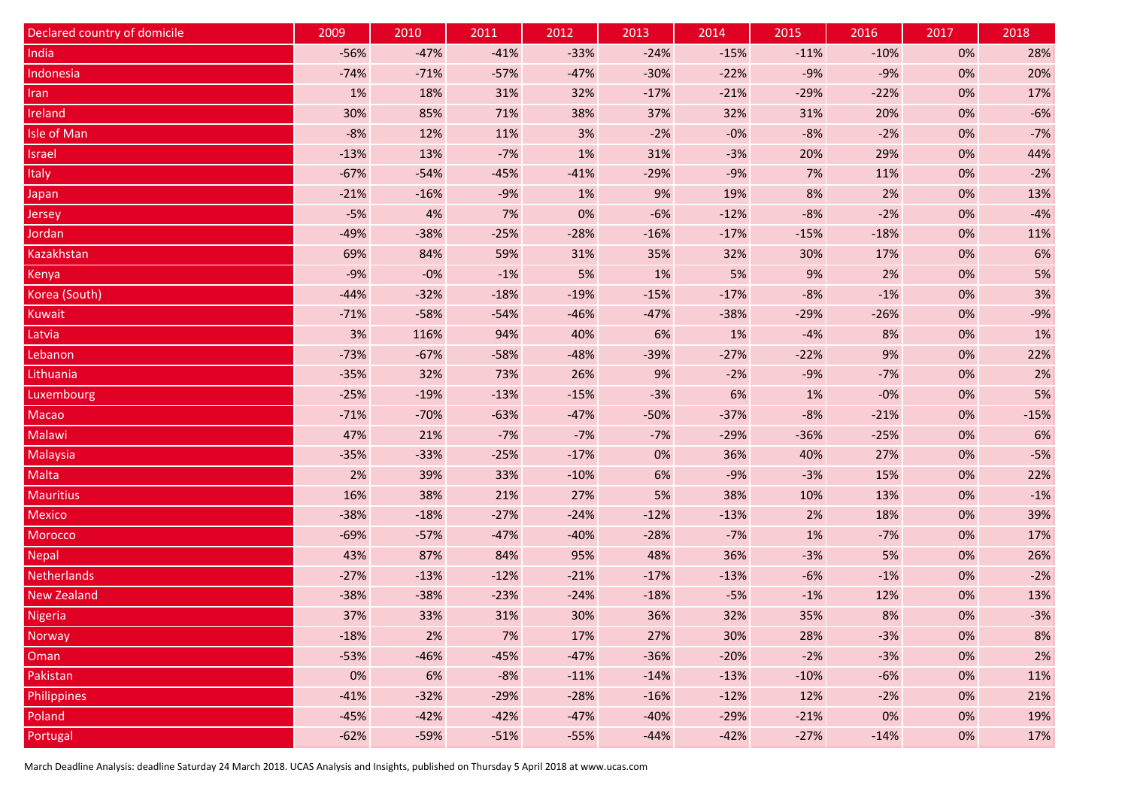| Declared country of domicile | 2009   | 2010   | 2011   | 2012   | 2013   | 2014   | 2015   | 2016   | 2017  | 2018   |
|------------------------------|--------|--------|--------|--------|--------|--------|--------|--------|-------|--------|
| India                        | $-56%$ | $-47%$ | $-41%$ | $-33%$ | $-24%$ | $-15%$ | $-11%$ | $-10%$ | 0%    | 28%    |
| Indonesia                    | $-74%$ | $-71%$ | $-57%$ | $-47%$ | $-30%$ | $-22%$ | $-9%$  | $-9%$  | 0%    | 20%    |
| <b>Iran</b>                  | $1\%$  | 18%    | 31%    | 32%    | $-17%$ | $-21%$ | $-29%$ | $-22%$ | 0%    | 17%    |
| Ireland                      | 30%    | 85%    | 71%    | 38%    | 37%    | 32%    | 31%    | 20%    | 0%    | $-6%$  |
| Isle of Man                  | $-8%$  | 12%    | 11%    | 3%     | $-2%$  | $-0%$  | $-8%$  | $-2%$  | 0%    | $-7%$  |
| <b>Israel</b>                | $-13%$ | 13%    | $-7%$  | $1\%$  | 31%    | $-3%$  | 20%    | 29%    | 0%    | 44%    |
| Italy                        | $-67%$ | $-54%$ | $-45%$ | $-41%$ | $-29%$ | $-9%$  | 7%     | 11%    | 0%    | $-2%$  |
| Japan                        | $-21%$ | $-16%$ | $-9%$  | 1%     | 9%     | 19%    | 8%     | 2%     | 0%    | 13%    |
| Jersey                       | $-5%$  | 4%     | 7%     | 0%     | $-6%$  | $-12%$ | $-8%$  | $-2%$  | 0%    | $-4%$  |
| <b>Jordan</b>                | $-49%$ | $-38%$ | $-25%$ | $-28%$ | $-16%$ | $-17%$ | $-15%$ | $-18%$ | 0%    | 11%    |
| Kazakhstan                   | 69%    | 84%    | 59%    | 31%    | 35%    | 32%    | 30%    | 17%    | 0%    | 6%     |
| Kenya                        | $-9%$  | $-0%$  | $-1%$  | 5%     | $1\%$  | 5%     | 9%     | 2%     | 0%    | 5%     |
| Korea (South)                | $-44%$ | $-32%$ | $-18%$ | $-19%$ | $-15%$ | $-17%$ | $-8%$  | $-1%$  | 0%    | 3%     |
| <b>Kuwait</b>                | $-71%$ | $-58%$ | $-54%$ | $-46%$ | $-47%$ | $-38%$ | $-29%$ | $-26%$ | 0%    | $-9%$  |
| Latvia                       | 3%     | 116%   | 94%    | 40%    | 6%     | $1\%$  | $-4%$  | 8%     | 0%    | 1%     |
| Lebanon                      | $-73%$ | $-67%$ | $-58%$ | $-48%$ | $-39%$ | $-27%$ | $-22%$ | 9%     | 0%    | 22%    |
| Lithuania                    | $-35%$ | 32%    | 73%    | 26%    | 9%     | $-2%$  | $-9%$  | $-7%$  | 0%    | 2%     |
| Luxembourg                   | $-25%$ | $-19%$ | $-13%$ | $-15%$ | $-3%$  | 6%     | 1%     | $-0%$  | $0\%$ | 5%     |
| Macao                        | $-71%$ | $-70%$ | $-63%$ | $-47%$ | $-50%$ | $-37%$ | $-8%$  | $-21%$ | 0%    | $-15%$ |
| Malawi                       | 47%    | 21%    | $-7%$  | $-7%$  | $-7%$  | $-29%$ | $-36%$ | $-25%$ | 0%    | 6%     |
| Malaysia                     | $-35%$ | $-33%$ | $-25%$ | $-17%$ | $0\%$  | 36%    | 40%    | 27%    | 0%    | $-5%$  |
| <b>Malta</b>                 | $2\%$  | 39%    | 33%    | $-10%$ | 6%     | $-9%$  | $-3%$  | 15%    | $0\%$ | 22%    |
| <b>Mauritius</b>             | 16%    | 38%    | 21%    | 27%    | 5%     | 38%    | 10%    | 13%    | 0%    | $-1%$  |
| <b>Mexico</b>                | $-38%$ | $-18%$ | $-27%$ | $-24%$ | $-12%$ | $-13%$ | 2%     | 18%    | $0\%$ | 39%    |
| Morocco                      | $-69%$ | $-57%$ | $-47%$ | $-40%$ | $-28%$ | $-7%$  | 1%     | $-7%$  | 0%    | 17%    |
| <b>Nepal</b>                 | 43%    | 87%    | 84%    | 95%    | 48%    | 36%    | $-3%$  | 5%     | $0\%$ | 26%    |
| Netherlands                  | $-27%$ | $-13%$ | $-12%$ | $-21%$ | $-17%$ | $-13%$ | $-6%$  | $-1%$  | 0%    | $-2%$  |
| <b>New Zealand</b>           | $-38%$ | $-38%$ | $-23%$ | $-24%$ | $-18%$ | $-5%$  | $-1%$  | 12%    | $0\%$ | 13%    |
| <b>Nigeria</b>               | 37%    | 33%    | 31%    | 30%    | 36%    | 32%    | 35%    | 8%     | 0%    | $-3%$  |
| <b>Norway</b>                | $-18%$ | 2%     | 7%     | 17%    | 27%    | 30%    | 28%    | $-3%$  | 0%    | 8%     |
| Oman                         | $-53%$ | $-46%$ | $-45%$ | $-47%$ | $-36%$ | $-20%$ | $-2%$  | $-3%$  | $0\%$ | 2%     |
| Pakistan                     | $0\%$  | 6%     | $-8%$  | $-11%$ | $-14%$ | $-13%$ | $-10%$ | $-6%$  | $0\%$ | 11%    |
| Philippines                  | $-41%$ | $-32%$ | $-29%$ | $-28%$ | $-16%$ | $-12%$ | 12%    | $-2%$  | 0%    | 21%    |
| Poland                       | $-45%$ | $-42%$ | $-42%$ | $-47%$ | $-40%$ | $-29%$ | $-21%$ | 0%     | $0\%$ | 19%    |
| Portugal                     | $-62%$ | $-59%$ | $-51%$ | $-55%$ | $-44%$ | $-42%$ | $-27%$ | $-14%$ | 0%    | 17%    |

March Deadline Analysis: deadline Saturday 24 March 2018. UCAS Analysis and Insights, published on Thursday 5 April 2018 at www.ucas.com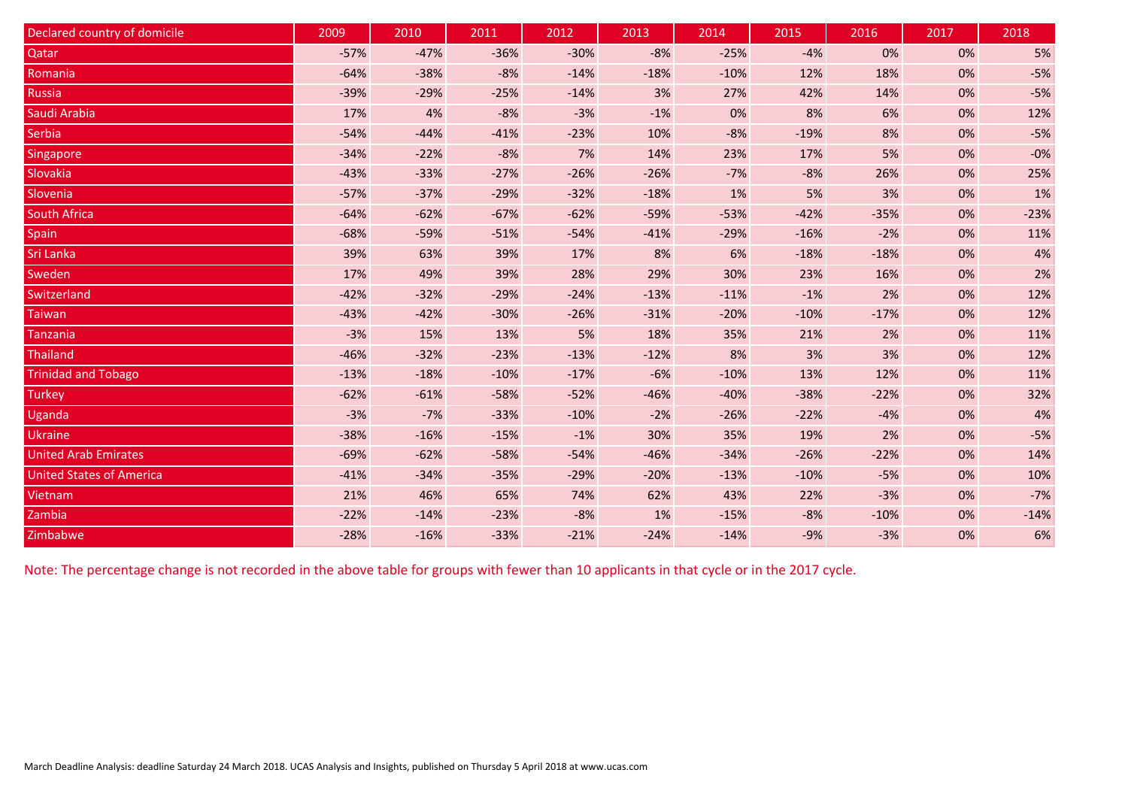| Declared country of domicile    | 2009   | 2010   | 2011   | 2012   | 2013   | 2014   | 2015   | 2016   | 2017 | 2018   |
|---------------------------------|--------|--------|--------|--------|--------|--------|--------|--------|------|--------|
| Qatar                           | $-57%$ | $-47%$ | $-36%$ | $-30%$ | $-8%$  | $-25%$ | $-4%$  | 0%     | 0%   | 5%     |
| Romania                         | $-64%$ | $-38%$ | $-8%$  | $-14%$ | $-18%$ | $-10%$ | 12%    | 18%    | 0%   | $-5%$  |
| <b>Russia</b>                   | $-39%$ | $-29%$ | $-25%$ | $-14%$ | 3%     | 27%    | 42%    | 14%    | 0%   | $-5%$  |
| Saudi Arabia                    | 17%    | 4%     | $-8%$  | $-3%$  | $-1%$  | 0%     | 8%     | 6%     | 0%   | 12%    |
| <b>Serbia</b>                   | $-54%$ | $-44%$ | $-41%$ | $-23%$ | 10%    | $-8%$  | $-19%$ | 8%     | 0%   | $-5%$  |
| Singapore                       | $-34%$ | $-22%$ | $-8%$  | 7%     | 14%    | 23%    | 17%    | 5%     | 0%   | $-0%$  |
| Slovakia                        | $-43%$ | $-33%$ | $-27%$ | $-26%$ | $-26%$ | $-7%$  | $-8%$  | 26%    | 0%   | 25%    |
| Slovenia                        | $-57%$ | $-37%$ | $-29%$ | $-32%$ | $-18%$ | 1%     | 5%     | 3%     | 0%   | 1%     |
| <b>South Africa</b>             | $-64%$ | $-62%$ | $-67%$ | $-62%$ | $-59%$ | $-53%$ | $-42%$ | $-35%$ | 0%   | $-23%$ |
| Spain                           | $-68%$ | $-59%$ | $-51%$ | $-54%$ | $-41%$ | $-29%$ | $-16%$ | $-2%$  | 0%   | 11%    |
| Sri Lanka                       | 39%    | 63%    | 39%    | 17%    | 8%     | 6%     | $-18%$ | $-18%$ | 0%   | 4%     |
| Sweden                          | 17%    | 49%    | 39%    | 28%    | 29%    | 30%    | 23%    | 16%    | 0%   | 2%     |
| Switzerland                     | $-42%$ | $-32%$ | $-29%$ | $-24%$ | $-13%$ | $-11%$ | $-1%$  | 2%     | 0%   | 12%    |
| <b>Taiwan</b>                   | $-43%$ | $-42%$ | $-30%$ | $-26%$ | $-31%$ | $-20%$ | $-10%$ | $-17%$ | 0%   | 12%    |
| <b>Tanzania</b>                 | $-3%$  | 15%    | 13%    | 5%     | 18%    | 35%    | 21%    | 2%     | 0%   | 11%    |
| <b>Thailand</b>                 | $-46%$ | $-32%$ | $-23%$ | $-13%$ | $-12%$ | 8%     | 3%     | 3%     | 0%   | 12%    |
| <b>Trinidad and Tobago</b>      | $-13%$ | $-18%$ | $-10%$ | $-17%$ | $-6%$  | $-10%$ | 13%    | 12%    | 0%   | 11%    |
| <b>Turkey</b>                   | $-62%$ | $-61%$ | $-58%$ | $-52%$ | $-46%$ | $-40%$ | $-38%$ | $-22%$ | 0%   | 32%    |
| Uganda                          | $-3%$  | $-7%$  | $-33%$ | $-10%$ | $-2%$  | $-26%$ | $-22%$ | $-4%$  | 0%   | 4%     |
| <b>Ukraine</b>                  | $-38%$ | $-16%$ | $-15%$ | $-1%$  | 30%    | 35%    | 19%    | 2%     | 0%   | $-5%$  |
| <b>United Arab Emirates</b>     | $-69%$ | $-62%$ | $-58%$ | $-54%$ | $-46%$ | $-34%$ | $-26%$ | $-22%$ | 0%   | 14%    |
| <b>United States of America</b> | $-41%$ | $-34%$ | $-35%$ | $-29%$ | $-20%$ | $-13%$ | $-10%$ | $-5%$  | 0%   | 10%    |
| Vietnam                         | 21%    | 46%    | 65%    | 74%    | 62%    | 43%    | 22%    | $-3%$  | 0%   | $-7%$  |
| Zambia                          | $-22%$ | $-14%$ | $-23%$ | $-8%$  | 1%     | $-15%$ | $-8%$  | $-10%$ | 0%   | $-14%$ |
| Zimbabwe                        | $-28%$ | $-16%$ | $-33%$ | $-21%$ | $-24%$ | $-14%$ | $-9%$  | $-3%$  | 0%   | 6%     |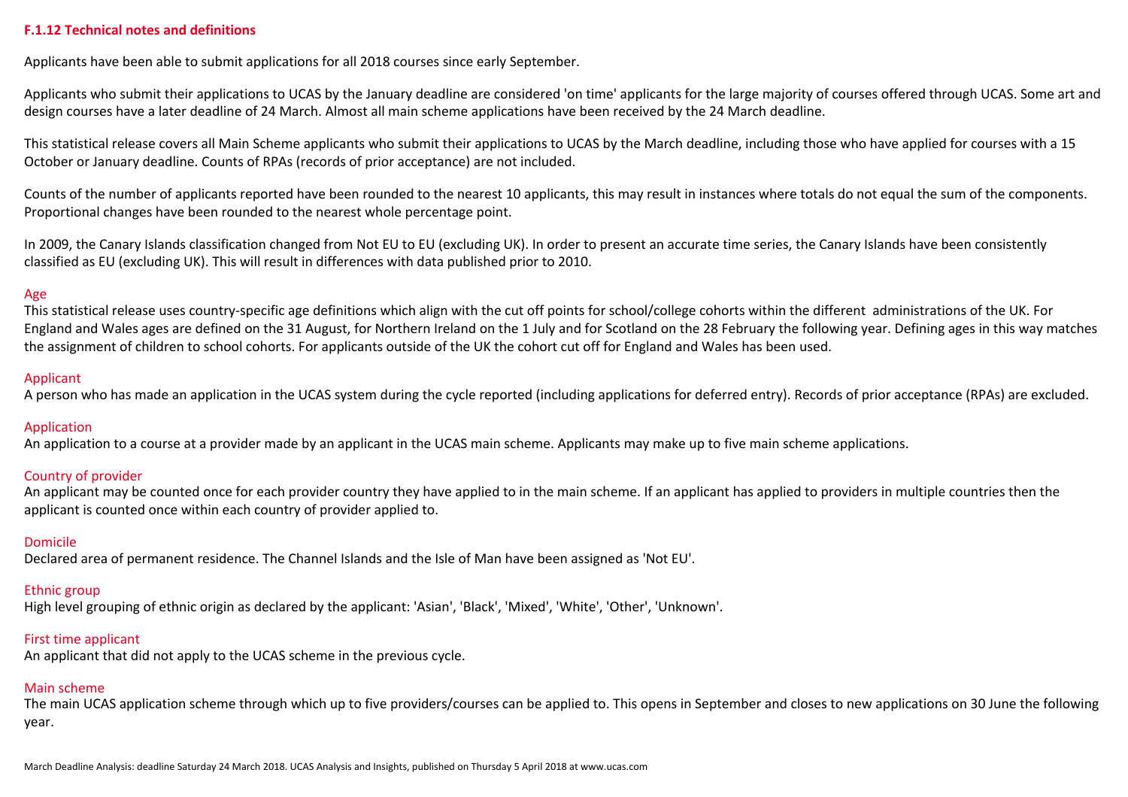#### **F.1.12 Technical notes and definitions**

Applicants have been able to submit applications for all 2018 courses since early September.

Applicants who submit their applications to UCAS by the January deadline are considered 'on time' applicants for the large majority of courses offered through UCAS. Some art and design courses have a later deadline of 24 March. Almost all main scheme applications have been received by the 24 March deadline.

This statistical release covers all Main Scheme applicants who submit their applications to UCAS by the March deadline, including those who have applied for courses with a 15 October or January deadline. Counts of RPAs (records of prior acceptance) are not included.

Counts of the number of applicants reported have been rounded to the nearest 10 applicants, this may result in instances where totals do not equal the sum of the components. Proportional changes have been rounded to the nearest whole percentage point.

In 2009, the Canary Islands classification changed from Not EU to EU (excluding UK). In order to present an accurate time series, the Canary Islands have been consistently classified as EU (excluding UK). This will result in differences with data published prior to 2010.

#### Age

This statistical release uses country-specific age definitions which align with the cut off points for school/college cohorts within the different administrations of the UK. For England and Wales ages are defined on the 31 August, for Northern Ireland on the 1 July and for Scotland on the 28 February the following year. Defining ages in this way matches the assignment of children to school cohorts. For applicants outside of the UK the cohort cut off for England and Wales has been used.

#### Applicant

A person who has made an application in the UCAS system during the cycle reported (including applications for deferred entry). Records of prior acceptance (RPAs) are excluded.

# Application

An application to a course at a provider made by an applicant in the UCAS main scheme. Applicants may make up to five main scheme applications.

# Country of provider

An applicant may be counted once for each provider country they have applied to in the main scheme. If an applicant has applied to providers in multiple countries then the applicant is counted once within each country of provider applied to.

# Domicile

Declared area of permanent residence. The Channel Islands and the Isle of Man have been assigned as 'Not EU'.

#### Ethnic group

High level grouping of ethnic origin as declared by the applicant: 'Asian', 'Black', 'Mixed', 'White', 'Other', 'Unknown'.

#### First time applicant

An applicant that did not apply to the UCAS scheme in the previous cycle.

#### Main scheme

The main UCAS application scheme through which up to five providers/courses can be applied to. This opens in September and closes to new applications on 30 June the following year.